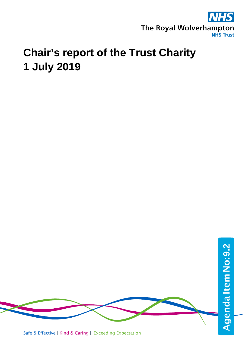

## **Chair's report of the Trust Charity 1 July 2019**



Safe & Effective | Kind & Caring | Exceeding Expectation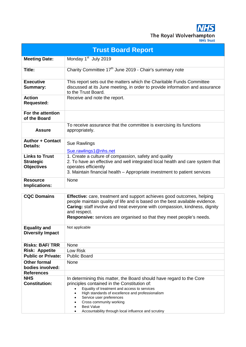**NHS** The Royal Wolverhampton

| <b>Trust Board Report</b>                                      |                                                                                                                                                                                                                                                                                                                                                                                            |  |  |  |  |  |
|----------------------------------------------------------------|--------------------------------------------------------------------------------------------------------------------------------------------------------------------------------------------------------------------------------------------------------------------------------------------------------------------------------------------------------------------------------------------|--|--|--|--|--|
| <b>Meeting Date:</b>                                           | Monday 1 <sup>st</sup> July 2019                                                                                                                                                                                                                                                                                                                                                           |  |  |  |  |  |
| Title:                                                         | Charity Committee 17 <sup>th</sup> June 2019 - Chair's summary note                                                                                                                                                                                                                                                                                                                        |  |  |  |  |  |
| <b>Executive</b><br><b>Summary:</b>                            | This report sets out the matters which the Charitable Funds Committee<br>discussed at its June meeting, in order to provide information and assurance<br>to the Trust Board.                                                                                                                                                                                                               |  |  |  |  |  |
| <b>Action</b><br><b>Requested:</b>                             | Receive and note the report.                                                                                                                                                                                                                                                                                                                                                               |  |  |  |  |  |
| For the attention<br>of the Board                              |                                                                                                                                                                                                                                                                                                                                                                                            |  |  |  |  |  |
| <b>Assure</b>                                                  | To receive assurance that the committee is exercising its functions<br>appropriately.                                                                                                                                                                                                                                                                                                      |  |  |  |  |  |
| <b>Author + Contact</b><br><b>Details:</b>                     | Sue Rawlings<br>Sue.rawlings1@nhs.net                                                                                                                                                                                                                                                                                                                                                      |  |  |  |  |  |
| <b>Links to Trust</b><br><b>Strategic</b><br><b>Objectives</b> | 1. Create a culture of compassion, safety and quality<br>2. To have an effective and well integrated local health and care system that<br>operates efficiently<br>3. Maintain financial health – Appropriate investment to patient services                                                                                                                                                |  |  |  |  |  |
| <b>Resource</b><br>Implications:                               | None                                                                                                                                                                                                                                                                                                                                                                                       |  |  |  |  |  |
|                                                                |                                                                                                                                                                                                                                                                                                                                                                                            |  |  |  |  |  |
| <b>CQC Domains</b>                                             | <b>Effective:</b> care, treatment and support achieves good outcomes, helping<br>people maintain quality of life and is based on the best available evidence.<br>Caring: staff involve and treat everyone with compassion, kindness, dignity<br>and respect.<br>Responsive: services are organised so that they meet people's needs.                                                       |  |  |  |  |  |
| <b>Equality and</b><br><b>Diversity Impact</b>                 | Not applicable                                                                                                                                                                                                                                                                                                                                                                             |  |  |  |  |  |
| <b>Risks: BAF/TRR</b>                                          | None                                                                                                                                                                                                                                                                                                                                                                                       |  |  |  |  |  |
| <b>Risk: Appetite</b>                                          | Low Risk                                                                                                                                                                                                                                                                                                                                                                                   |  |  |  |  |  |
| <b>Public or Private:</b>                                      | <b>Public Board</b>                                                                                                                                                                                                                                                                                                                                                                        |  |  |  |  |  |
| <b>Other formal</b><br>bodies involved:                        | None                                                                                                                                                                                                                                                                                                                                                                                       |  |  |  |  |  |
| <b>References</b>                                              |                                                                                                                                                                                                                                                                                                                                                                                            |  |  |  |  |  |
| <b>NHS</b><br><b>Constitution:</b>                             | In determining this matter, the Board should have regard to the Core<br>principles contained in the Constitution of:<br>Equality of treatment and access to services<br>$\bullet$<br>High standards of excellence and professionalism<br>$\bullet$<br>Service user preferences<br>Cross community working<br>٠<br><b>Best Value</b><br>Accountability through local influence and scrutiny |  |  |  |  |  |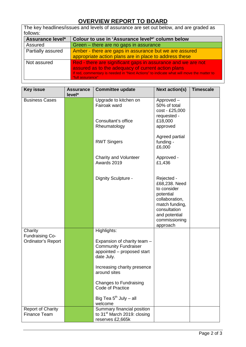## **OVERVIEW REPORT TO BOARD**

|                         | The key headlines/issues and levels of assurance are set out below, and are graded as                       |  |  |  |  |  |
|-------------------------|-------------------------------------------------------------------------------------------------------------|--|--|--|--|--|
| follows:                |                                                                                                             |  |  |  |  |  |
| <b>Assurance level*</b> | Colour to use in 'Assurance level*' column below                                                            |  |  |  |  |  |
| Assured                 | Green – there are no gaps in assurance                                                                      |  |  |  |  |  |
| Partially assured       | Amber - there are gaps in assurance but we are assured                                                      |  |  |  |  |  |
|                         | appropriate action plans are in place to address these                                                      |  |  |  |  |  |
| Not assured             | Red - there are significant gaps in assurance and we are not                                                |  |  |  |  |  |
|                         | assured as to the adequacy of current action plans                                                          |  |  |  |  |  |
|                         | If red, commentary is needed in "Next Actions" to indicate what will move the matter to<br>"full assurance" |  |  |  |  |  |

| <b>Key issue</b>                                | <b>Assurance</b><br>level* | <b>Committee update</b>                                                                                | <b>Next action(s)</b>                                                                                                                                     | <b>Timescale</b> |
|-------------------------------------------------|----------------------------|--------------------------------------------------------------------------------------------------------|-----------------------------------------------------------------------------------------------------------------------------------------------------------|------------------|
| <b>Business Cases</b>                           |                            | Upgrade to kitchen on<br>Fairoak ward                                                                  | Approved-<br>50% of total<br>cost - £25,000<br>requested -                                                                                                |                  |
|                                                 |                            | Consultant's office<br>Rheumatology                                                                    | £18,000<br>approved                                                                                                                                       |                  |
|                                                 |                            | <b>RWT Singers</b>                                                                                     | Agreed partial<br>funding -<br>£6,000                                                                                                                     |                  |
|                                                 |                            | <b>Charity and Volunteer</b><br>Awards 2019                                                            | Approved -<br>£1,436                                                                                                                                      |                  |
|                                                 |                            | Dignity Sculpture -                                                                                    | Rejected -<br>£68,238. Need<br>to consider<br>potential<br>collaboration,<br>match funding,<br>consultation<br>and potential<br>commissioning<br>approach |                  |
| Charity                                         |                            | Highlights:                                                                                            |                                                                                                                                                           |                  |
| <b>Fundraising Co-</b><br>Ordinator's Report    |                            | Expansion of charity team -<br><b>Community Fundraiser</b><br>appointed - proposed start<br>date July. |                                                                                                                                                           |                  |
|                                                 |                            | Increasing charity presence<br>around sites                                                            |                                                                                                                                                           |                  |
|                                                 |                            | <b>Changes to Fundraising</b><br>Code of Practice                                                      |                                                                                                                                                           |                  |
|                                                 |                            | Big Tea $5^{th}$ July – all<br>welcome                                                                 |                                                                                                                                                           |                  |
| <b>Report of Charity</b><br><b>Finance Team</b> |                            | Summary financial position<br>to 31 <sup>st</sup> March 2019: closing<br>reserves £2,665k              |                                                                                                                                                           |                  |